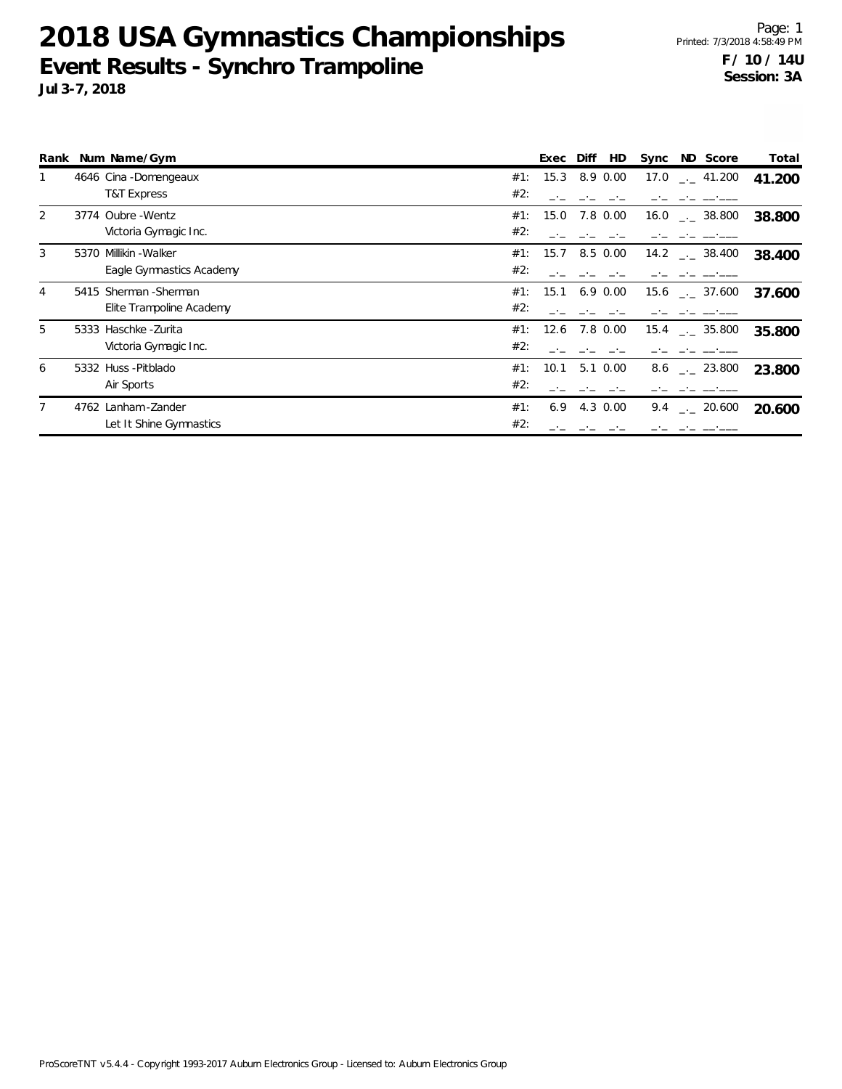## **2018 USA Gymnastics Championships Event Results - Synchro Trampoline**

**Jul 3-7, 2018**

|                | Rank Num Name/Gym        |     | Exec     | Diff<br>HD.   | Sync | ND Score                              | Total  |
|----------------|--------------------------|-----|----------|---------------|------|---------------------------------------|--------|
|                | 4646 Cina - Domengeaux   |     | #1: 15.3 | 8.9 0.00      |      | $17.0$ $_{\leftarrow}$ 41.200         | 41.200 |
|                | <b>T&amp;T Express</b>   | #2: |          |               |      |                                       |        |
| $\overline{2}$ | 3774 Oubre - Wentz       | #1: | 15.0     | 7.8 0.00      |      | $16.0$ $_{\sim}$ 38.800               | 38.800 |
|                | Victoria Gymagic Inc.    | #2: |          |               |      |                                       |        |
| 3              | 5370 Millikin - Walker   | #1: | 15.7     | 8.5 0.00      |      | $14.2$ $_{\sim}$ 38.400               | 38.400 |
|                | Eagle Gymnastics Academy | #2: |          |               |      |                                       |        |
| 4              | 5415 Sherman - Sherman   | #1: |          | 15.1 6.9 0.00 |      | $15.6$ $_{\leftarrow}$ 37.600         | 37.600 |
|                | Elite Trampoline Academy | #2: |          |               |      |                                       |        |
| 5              | 5333 Haschke - Zurita    | #1: | 12.6     | 7.8 0.00      |      | $15.4$ $-$ 35.800                     | 35.800 |
|                | Victoria Gymagic Inc.    | #2: |          |               |      |                                       |        |
| 6              | 5332 Huss-Pitblado       | #1: | 10.1     | 5.1 0.00      |      | $8.6$ $_{\leftarrow}$ 23.800          | 23.800 |
|                | Air Sports               | #2: |          |               |      |                                       |        |
| 7              | 4762 Lanham-Zander       | #1: | 6.9      | 4.3 0.00      |      | 9.4 $\qquad$ $\qquad$ $\qquad$ 20.600 | 20.600 |
|                | Let It Shine Gymnastics  | #2: |          |               |      |                                       |        |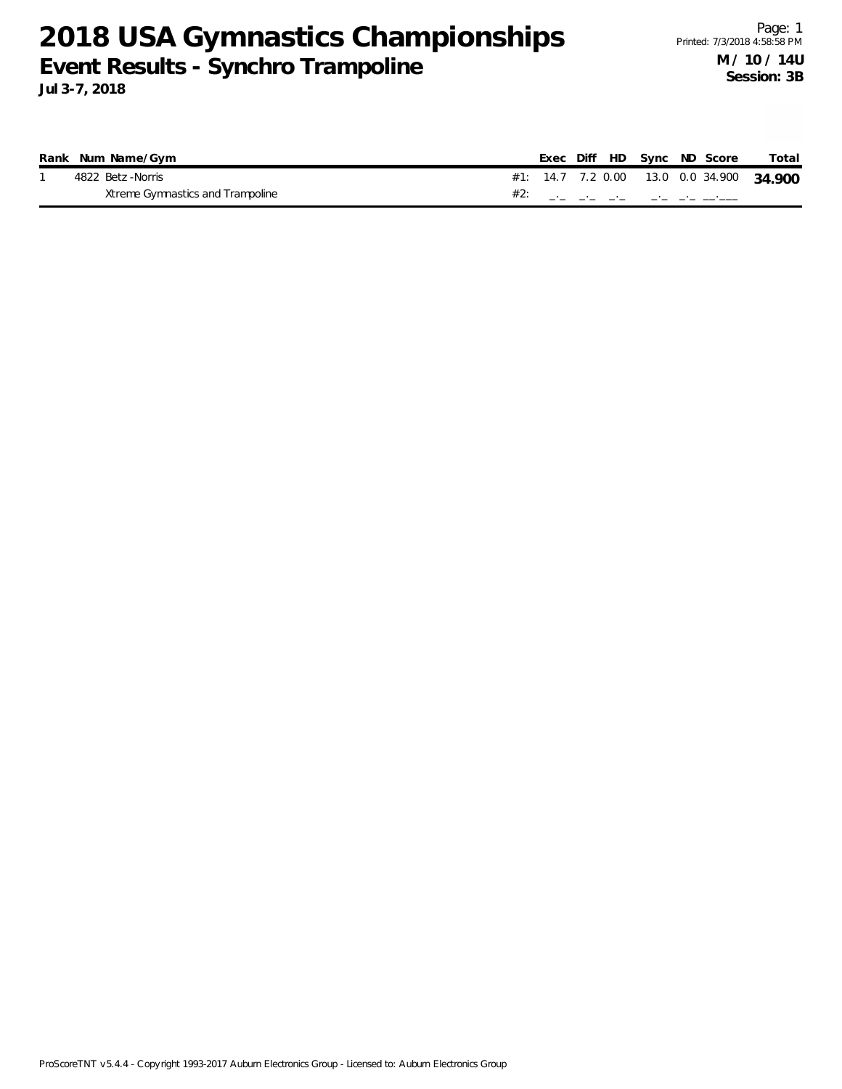## **2018 USA Gymnastics Championships Event Results - Synchro Trampoline**

**Jul 3-7, 2018**

|  | Rank Num Name/Gym                |     |  |  | Exec Diff HD Sync ND Score | Total                                    |
|--|----------------------------------|-----|--|--|----------------------------|------------------------------------------|
|  | 4822 Betz - Norris               |     |  |  |                            | #1: 14.7 7.2 0.00 13.0 0.0 34.900 34.900 |
|  | Xtreme Gymnastics and Trampoline | #2: |  |  |                            |                                          |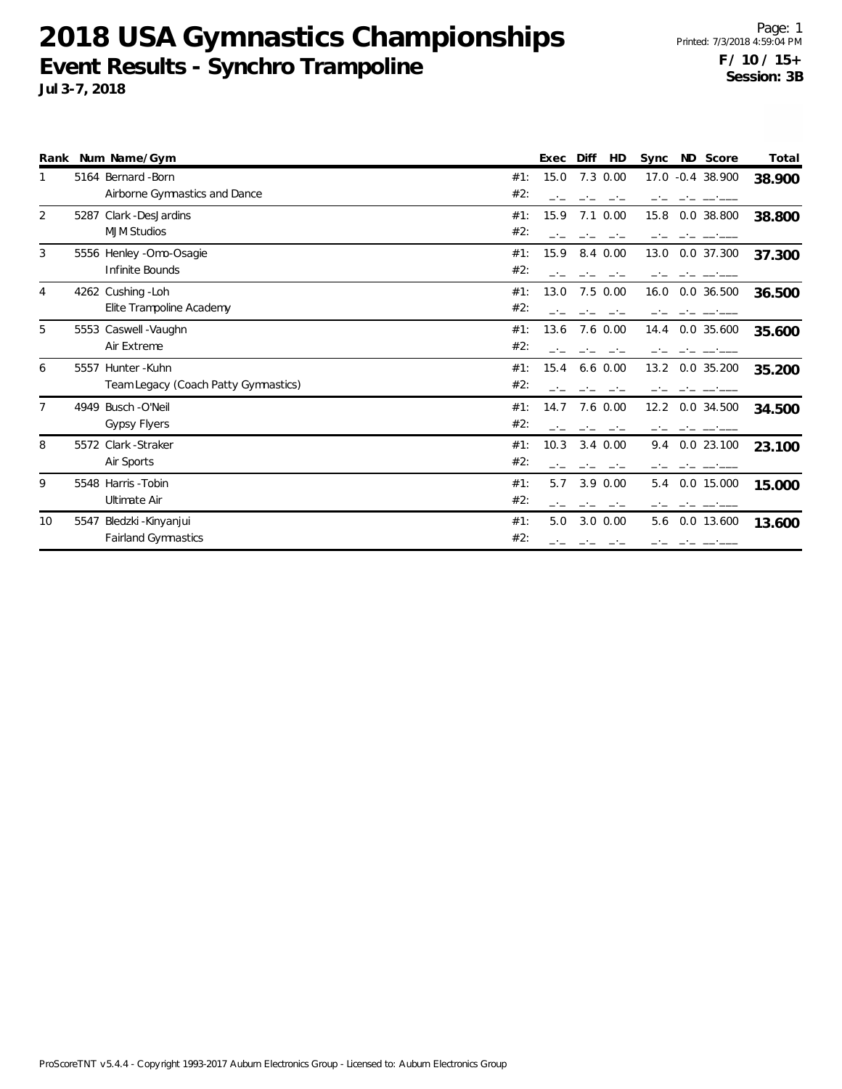**2018 USA Gymnastics Championships Event Results - Synchro Trampoline**

Page: 1 Printed: 7/3/2018 4:59:04 PM **F / 10 / 15+ Session: 3B**

**Jul 3-7, 2018**

| Rank |      | Num Name/Gym                         |     | Exec | Diff<br>HD   | Sync | ND Score         | Total  |
|------|------|--------------------------------------|-----|------|--------------|------|------------------|--------|
|      |      | 5164 Bernard - Born                  | #1: | 15.0 | 7.3 0.00     |      | 17.0 -0.4 38.900 | 38.900 |
|      |      | Airborne Gymnastics and Dance        | #2: |      |              |      |                  |        |
| 2    | 5287 | Clark - Des Jardins                  | #1: | 15.9 | $7.1 \ 0.00$ | 15.8 | 0.0 38.800       | 38.800 |
|      |      | <b>MJM Studios</b>                   | #2: |      |              |      |                  |        |
| 3    |      | 5556 Henley -Omo-Osagie              | #1: | 15.9 | 8.4 0.00     | 13.0 | 0.0 37.300       | 37.300 |
|      |      | Infinite Bounds                      | #2: |      |              |      |                  |        |
| 4    |      | 4262 Cushing - Loh                   | #1: | 13.0 | 7.5 0.00     | 16.0 | $0.0$ 36.500     | 36.500 |
|      |      | Elite Trampoline Academy             | #2: |      |              |      |                  |        |
| 5    |      | 5553 Caswell - Vaughn                | #1: | 13.6 | 7.6 0.00     | 14.4 | $0.0$ 35.600     | 35.600 |
|      |      | Air Extreme                          | #2: |      |              |      |                  |        |
| 6    | 5557 | Hunter - Kuhn                        | #1: | 15.4 | $6.6$ $0.00$ | 13.2 | $0.0$ 35.200     | 35.200 |
|      |      | Team Legacy (Coach Patty Gymnastics) | #2: |      |              |      |                  |        |
| 7    |      | 4949 Busch - O'Neil                  | #1: | 14.7 | 7.6 0.00     | 12.2 | 0.0 34.500       | 34.500 |
|      |      | Gypsy Flyers                         | #2: | $-1$ |              |      |                  |        |
| 8    |      | 5572 Clark - Straker                 | #1: | 10.3 | $3.4 \ 0.00$ | 9.4  | $0.0$ 23.100     | 23.100 |
|      |      | Air Sports                           | #2: |      |              |      |                  |        |
| 9    |      | 5548 Harris - Tobin                  | #1: | 5.7  | $3.9 \ 0.00$ | 5.4  | 0.0 15.000       | 15.000 |
|      |      | Ultimate Air                         | #2: |      |              |      |                  |        |
| 10   |      | 5547 Bledzki - Kinyanjui             | #1: | 5.0  | $3.0\ 0.00$  | 5.6  | 0.0 13.600       | 13.600 |
|      |      | Fairland Gymnastics                  | #2: |      |              |      |                  |        |